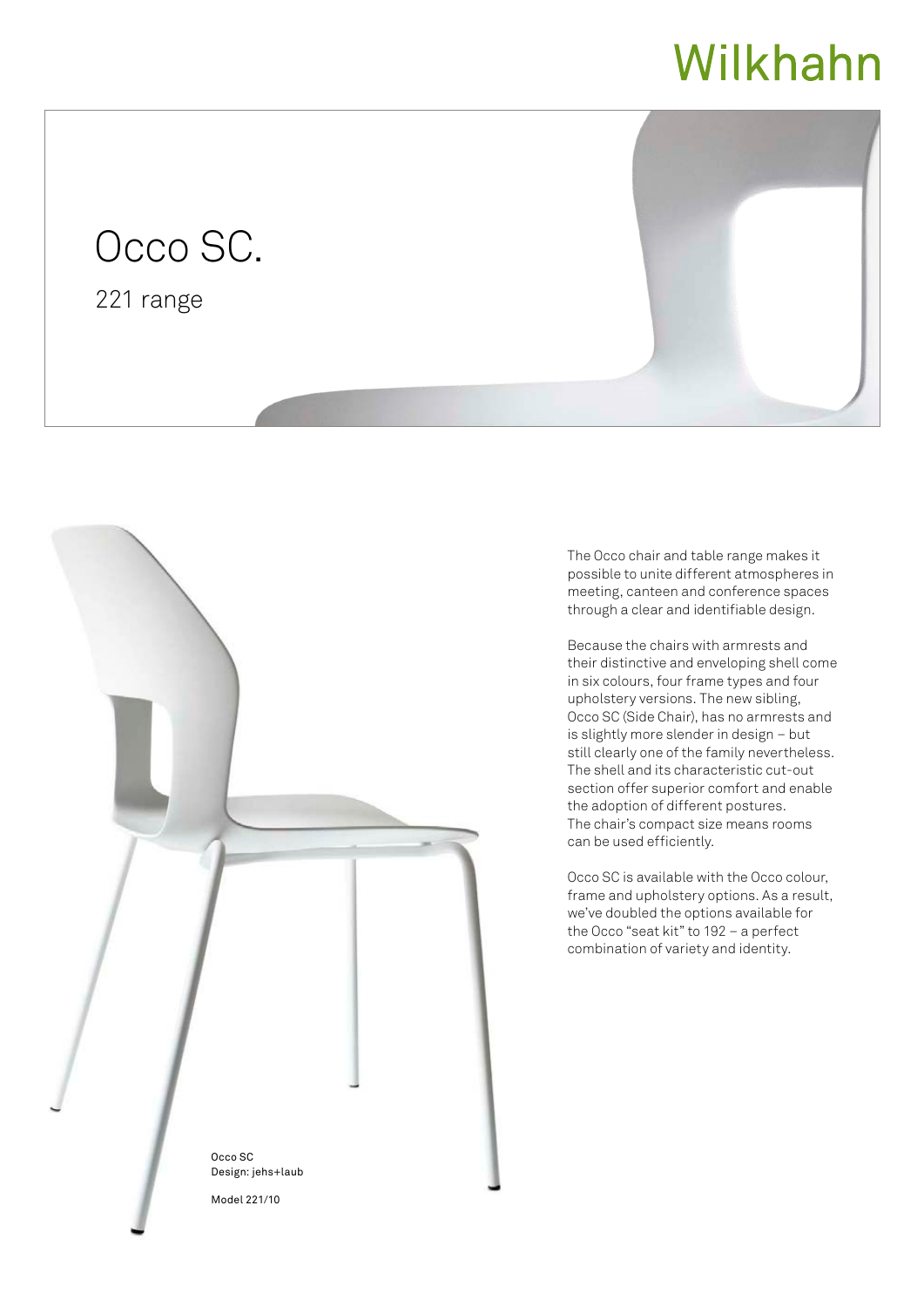## Wilkhahn

## Occo SC.

221 range





The Occo chair and table range makes it possible to unite different atmospheres in meeting, canteen and conference spaces through a clear and identifiable design.

Because the chairs with armrests and their distinctive and enveloping shell come in six colours, four frame types and four upholstery versions. The new sibling, Occo SC (Side Chair), has no armrests and is slightly more slender in design – but still clearly one of the family nevertheless. The shell and its characteristic cut-out section offer superior comfort and enable the adoption of different postures. The chair's compact size means rooms can be used efficiently.

Occo SC is available with the Occo colour, frame and upholstery options. As a result, we've doubled the options available for the Occo "seat kit" to 192 – a perfect combination of variety and identity.